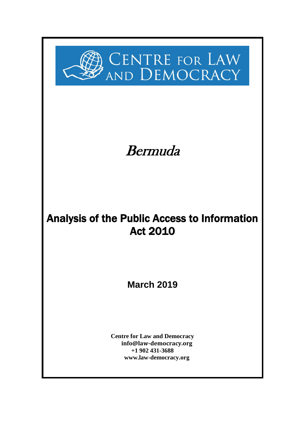

# Bermuda

# Analysis of the Public Access to Information Act 2010

**March 2019**

**Centre for Law and Democracy [info@law-democracy.org](mailto:info@law-democracy.org) +1 902 431-3688 [www.law-democracy.org](http://www.law-democracy.org/)**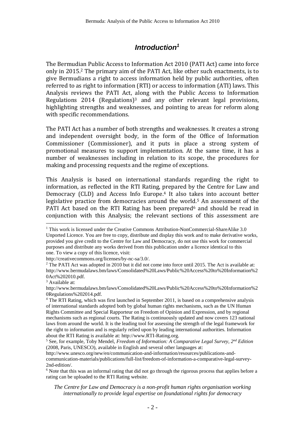### *Introduction<sup>1</sup>*

The Bermudian Public Access to Information Act 2010 (PATI Act) came into force only in 2015.<sup>2</sup> The primary aim of the PATI Act, like other such enactments, is to give Bermudians a right to access information held by public authorities, often referred to as right to information (RTI) or access to information (ATI) laws. This Analysis reviews the PATI Act, along with the Public Access to Information Regulations 2014 (Regulations)<sup>3</sup> and any other relevant legal provisions, highlighting strengths and weaknesses, and pointing to areas for reform along with specific recommendations.

The PATI Act has a number of both strengths and weaknesses. It creates a strong and independent oversight body, in the form of the Office of Information Commissioner (Commissioner), and it puts in place a strong system of promotional measures to support implementation. At the same time, it has a number of weaknesses including in relation to its scope, the procedures for making and processing requests and the regime of exceptions.

This Analysis is based on international standards regarding the right to information, as reflected in the RTI Rating, prepared by the Centre for Law and Democracy (CLD) and Access Info Europe.<sup>4</sup> It also takes into account better legislative practice from democracies around the world.<sup>5</sup> An assessment of the PATI Act based on the RTI Rating has been prepared<sup>6</sup> and should be read in conjunction with this Analysis; the relevant sections of this assessment are

 $\overline{a}$ 

http://www.unesco.org/new/en/communication-and-information/resources/publications-andcommunication-materials/publications/full-list/freedom-of-information-a-comparative-legal-survey-2nd-edition/.

<sup>6</sup> Note that this was an informal rating that did not go through the rigorous process that applies before a rating can be uploaded to the RTI Rating website.

<sup>&</sup>lt;sup>1</sup> This work is licensed under the Creative Commons Attribution-NonCommercial-ShareAlike 3.0 Unported Licence. You are free to copy, distribute and display this work and to make derivative works, provided you give credit to the Centre for Law and Democracy, do not use this work for commercial purposes and distribute any works derived from this publication under a licence identical to this one. To view a copy of this licence, visit:

[http://creativecommons.org/licenses/by-nc-sa/3.0/.](http://creativecommons.org/licenses/by-nc-sa/3.0/)

<sup>&</sup>lt;sup>2</sup> The PATI Act was adopted in 2010 but it did not come into force until 2015. The Act is available at: http://www.bermudalaws.bm/laws/Consolidated%20Laws/Public%20Access%20to%20Information%2 0Act%202010.pdf.

<sup>&</sup>lt;sup>3</sup> Available at:

http://www.bermudalaws.bm/laws/Consolidated%20Laws/Public%20Access%20to%20Information%2 0Regulations%202014.pdf.

<sup>&</sup>lt;sup>4</sup> The RTI Rating, which was first launched in September 2011, is based on a comprehensive analysis of international standards adopted both by global human rights mechanisms, such as the UN Human Rights Committee and Special Rapporteur on Freedom of Opinion and Expression, and by regional mechanisms such as regional courts. The Rating is continuously updated and now covers 123 national laws from around the world. It is the leading tool for assessing the strength of the legal framework for the right to information and is regularly relied upon by leading international authorities. Information about the RTI Rating is available at: http://www.RTI-Rating.org.

<sup>5</sup> See, for example, Toby Mendel, *Freedom of Information: A Comparative Legal Survey, 2nd Edition* (2008, Paris, UNESCO), available in English and several other languages at:

*The Centre for Law and Democracy is a non-profit human rights organisation working internationally to provide legal expertise on foundational rights for democracy*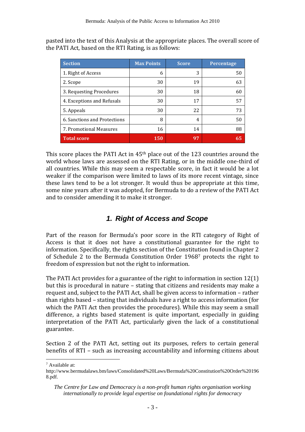pasted into the text of this Analysis at the appropriate places. The overall score of the PATI Act, based on the RTI Rating, is as follows:

| <b>Section</b>               | <b>Max Points</b> | <b>Score</b> | Percentage |
|------------------------------|-------------------|--------------|------------|
| 1. Right of Access           | 6                 | 3            | 50         |
| 2. Scope                     | 30                | 19           | 63         |
| 3. Requesting Procedures     | 30                | 18           | 60         |
| 4. Exceptions and Refusals   | 30                | 17           | 57         |
| 5. Appeals                   | 30                | 22           | 73         |
| 6. Sanctions and Protections | 8                 | 4            | 50         |
| 7. Promotional Measures      | 16                | 14           | 88         |
| <b>Total score</b>           | <b>150</b>        | 97           | 65         |

This score places the PATI Act in 45th place out of the 123 countries around the world whose laws are assessed on the RTI Rating, or in the middle one-third of all countries. While this may seem a respectable score, in fact it would be a lot weaker if the comparison were limited to laws of its more recent vintage, since these laws tend to be a lot stronger. It would thus be appropriate at this time, some nine years after it was adopted, for Bermuda to do a review of the PATI Act and to consider amending it to make it stronger.

# *1. Right of Access and Scope*

Part of the reason for Bermuda's poor score in the RTI category of Right of Access is that it does not have a constitutional guarantee for the right to information. Specifically, the rights section of the Constitution found in Chapter 2 of Schedule 2 to the Bermuda Constitution Order 1968<sup>7</sup> protects the right to freedom of expression but not the right to information.

The PATI Act provides for a guarantee of the right to information in section 12(1) but this is procedural in nature – stating that citizens and residents may make a request and, subject to the PATI Act, shall be given access to information – rather than rights based – stating that individuals have a right to access information (for which the PATI Act then provides the procedures). While this may seem a small difference, a rights based statement is quite important, especially in guiding interpretation of the PATI Act, particularly given the lack of a constitutional guarantee.

Section 2 of the PATI Act, setting out its purposes, refers to certain general benefits of RTI – such as increasing accountability and informing citizens about

 $\overline{a}$ <sup>7</sup> Available at:

http://www.bermudalaws.bm/laws/Consolidated%20Laws/Bermuda%20Constitution%20Order%20196 8.pdf.

*The Centre for Law and Democracy is a non-profit human rights organisation working internationally to provide legal expertise on foundational rights for democracy*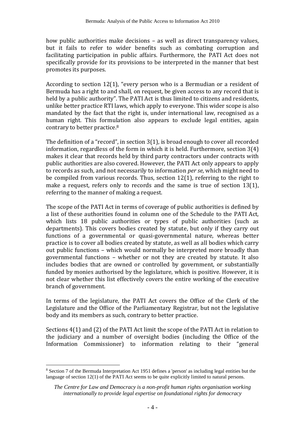how public authorities make decisions – as well as direct transparency values, but it fails to refer to wider benefits such as combating corruption and facilitating participation in public affairs. Furthermore, the PATI Act does not specifically provide for its provisions to be interpreted in the manner that best promotes its purposes.

According to section 12(1), "every person who is a Bermudian or a resident of Bermuda has a right to and shall, on request, be given access to any record that is held by a public authority". The PATI Act is thus limited to citizens and residents, unlike better practice RTI laws, which apply to everyone. This wider scope is also mandated by the fact that the right is, under international law, recognised as a human right. This formulation also appears to exclude legal entities, again contrary to better practice.<sup>8</sup>

The definition of a "record", in section 3(1), is broad enough to cover all recorded information, regardless of the form in which it is held. Furthermore, section 3(4) makes it clear that records held by third party contractors under contracts with public authorities are also covered. However, the PATI Act only appears to apply to records as such, and not necessarily to information *per se*, which might need to be compiled from various records. Thus, section 12(1), referring to the right to make a request, refers only to records and the same is true of section 13(1), referring to the manner of making a request.

The scope of the PATI Act in terms of coverage of public authorities is defined by a list of these authorities found in column one of the Schedule to the PATI Act, which lists 18 public authorities or types of public authorities (such as departments). This covers bodies created by statute, but only if they carry out functions of a governmental or quasi-governmental nature, whereas better practice is to cover all bodies created by statute, as well as all bodies which carry out public functions – which would normally be interpreted more broadly than governmental functions – whether or not they are created by statute. It also includes bodies that are owned or controlled by government, or substantially funded by monies authorised by the legislature, which is positive. However, it is not clear whether this list effectively covers the entire working of the executive branch of government.

In terms of the legislature, the PATI Act covers the Office of the Clerk of the Legislature and the Office of the Parliamentary Registrar, but not the legislative body and its members as such, contrary to better practice.

Sections 4(1) and (2) of the PATI Act limit the scope of the PATI Act in relation to the judiciary and a number of oversight bodies (including the Office of the Information Commissioner) to information relating to their "general

 $\overline{a}$ 

<sup>8</sup> Section 7 of the Bermuda Interpretation Act 1951 defines a 'person' as including legal entities but the language of section 12(1) of the PATI Act seems to be quite explicitly limited to natural persons.

*The Centre for Law and Democracy is a non-profit human rights organisation working internationally to provide legal expertise on foundational rights for democracy*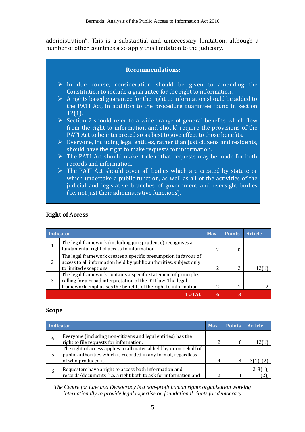administration". This is a substantial and unnecessary limitation, although a number of other countries also apply this limitation to the judiciary.

#### **Recommendations:**

- $\triangleright$  In due course, consideration should be given to amending the Constitution to include a guarantee for the right to information.
- $\triangleright$  A rights based guarantee for the right to information should be added to the PATI Act, in addition to the procedure guarantee found in section 12(1).
- ➢ Section 2 should refer to a wider range of general benefits which flow from the right to information and should require the provisions of the PATI Act to be interpreted so as best to give effect to those benefits.
- $\triangleright$  Everyone, including legal entities, rather than just citizens and residents, should have the right to make requests for information.
- ➢ The PATI Act should make it clear that requests may be made for both records and information.
- ➢ The PATI Act should cover all bodies which are created by statute or which undertake a public function, as well as all of the activities of the judicial and legislative branches of government and oversight bodies (i.e. not just their administrative functions).

|   | Indicator                                                                                                                                                                                         | <b>Max</b> | <b>Points</b> | <b>Article</b> |
|---|---------------------------------------------------------------------------------------------------------------------------------------------------------------------------------------------------|------------|---------------|----------------|
| 1 | The legal framework (including jurisprudence) recognises a<br>fundamental right of access to information.                                                                                         |            | 0             |                |
| 2 | The legal framework creates a specific presumption in favour of<br>access to all information held by public authorities, subject only<br>to limited exceptions.                                   | າ          | 2             |                |
| 3 | The legal framework contains a specific statement of principles<br>calling for a broad interpretation of the RTI law. The legal<br>framework emphasises the benefits of the right to information. | າ          | 1             |                |
|   | FOTAI                                                                                                                                                                                             |            | 3             |                |

#### **Right of Access**

#### **Scope**

| Indicator |                                                                                                                                                              | <b>Max</b> | <b>Points</b> | <b>Article</b> |
|-----------|--------------------------------------------------------------------------------------------------------------------------------------------------------------|------------|---------------|----------------|
|           | Everyone (including non-citizens and legal entities) has the<br>right to file requests for information.                                                      | n          | $\theta$      | 12(1)          |
| 5         | The right of access applies to all material held by or on behalf of<br>public authorities which is recorded in any format, regardless<br>of who produced it. |            | 4             | $3(1)$ , $(2)$ |
| 6         | Requesters have a right to access both information and<br>records/documents (i.e. a right both to ask for information and                                    | ◠          |               | 2, 3(1)        |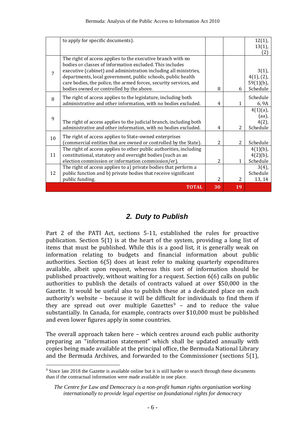|    | to apply for specific documents).                                                                                                                                                                                                                                                                                                |                |                | $12(1)$ ,<br>$13(1)$ ,                       |
|----|----------------------------------------------------------------------------------------------------------------------------------------------------------------------------------------------------------------------------------------------------------------------------------------------------------------------------------|----------------|----------------|----------------------------------------------|
|    |                                                                                                                                                                                                                                                                                                                                  |                |                | [2]                                          |
| 7  | The right of access applies to the executive branch with no<br>bodies or classes of information excluded. This includes<br>executive (cabinet) and administration including all ministries,<br>departments, local government, public schools, public health<br>care bodies, the police, the armed forces, security services, and |                |                | $3(1)$ ,<br>4(1), (2),<br>$59(1)(b)$ ,       |
|    | bodies owned or controlled by the above.                                                                                                                                                                                                                                                                                         | 8              | 6              | Schedule                                     |
| 8  | The right of access applies to the legislature, including both<br>administrative and other information, with no bodies excluded.                                                                                                                                                                                                 | 4              | 1              | Schedule<br>6, 9A                            |
| 9  | The right of access applies to the judicial branch, including both<br>administrative and other information, with no bodies excluded.                                                                                                                                                                                             | 4              | 2              | $4(1)(a)$ ,<br>(aa),<br>$4(2)$ ,<br>Schedule |
| 10 | The right of access applies to State-owned enterprises<br>(commercial entities that are owned or controlled by the State).                                                                                                                                                                                                       | $\overline{c}$ | $\overline{2}$ | Schedule                                     |
| 11 | The right of access applies to other public authorities, including<br>constitutional, statutory and oversight bodies (such as an<br>election commission or information commission/er).                                                                                                                                           | 2              | 1              | $4(1)(b)$ ,<br>$4(2)(b)$ ,<br>Schedule       |
| 12 | The right of access applies to a) private bodies that perform a<br>public function and b) private bodies that receive significant<br>public funding.                                                                                                                                                                             | $\mathcal{L}$  | 2              | $3(4)$ ,<br>Schedule<br>13, 14               |
|    | <b>TOTAL</b>                                                                                                                                                                                                                                                                                                                     | 30             | 19             |                                              |

# *2. Duty to Publish*

Part 2 of the PATI Act, sections 5-11, established the rules for proactive publication. Section 5(1) is at the heart of the system, providing a long list of items that must be published. While this is a good list, it is generally weak on information relating to budgets and financial information about public authorities. Section 6(5) does at least refer to making quarterly expenditures available, albeit upon request, whereas this sort of information should be published proactively, without waiting for a request. Section 6(6) calls on public authorities to publish the details of contracts valued at over \$50,000 in the Gazette. It would be useful also to publish these at a dedicated place on each authority's website – because it will be difficult for individuals to find them if they are spread out over multiple Gazettes $9 -$  and to reduce the value substantially. In Canada, for example, contracts over \$10,000 must be published and even lower figures apply in some countries.

The overall approach taken here – which centres around each public authority preparing an "information statement" which shall be updated annually with copies being made available at the principal office, the Bermuda National Library and the Bermuda Archives, and forwarded to the Commissioner (sections 5(1),

 $\overline{a}$ 

<sup>9</sup> Since late 2018 the Gazette is available online but it is still harder to search through these documents than if the contractual information were made available in one place.

*The Centre for Law and Democracy is a non-profit human rights organisation working internationally to provide legal expertise on foundational rights for democracy*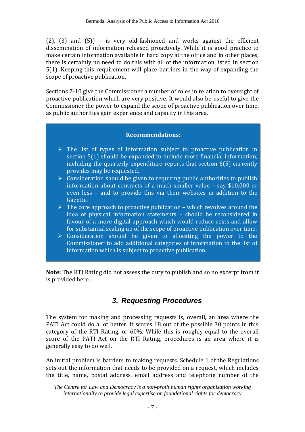$(2)$ ,  $(3)$  and  $(5)$  – is very old-fashioned and works against the efficient dissemination of information released proactively. While it is good practice to make certain information available in hard copy at the office and in other places, there is certainly no need to do this with all of the information listed in section 5(1). Keeping this requirement will place barriers in the way of expanding the scope of proactive publication.

Sections 7-10 give the Commissioner a number of roles in relation to oversight of proactive publication which are very positive. It would also be useful to give the Commissioner the power to expand the scope of proactive publication over time, as public authorities gain experience and capacity in this area.

#### **Recommendations:**

- $\triangleright$  The list of types of information subject to proactive publication in section 5(1) should be expanded to include more financial information, including the quarterly expenditure reports that section 6(5) currently provides may be requested.
- $\triangleright$  Consideration should be given to requiring public authorities to publish information about contracts of a much smaller value – say \$10,000 or even less – and to provide this via their websites in addition to the Gazette.
- $\triangleright$  The core approach to proactive publication which revolves around the idea of physical information statements – should be reconsidered in favour of a more digital approach which would reduce costs and allow for substantial scaling up of the scope of proactive publication over time.
- ➢ Consideration should be given to allocating the power to the Commissioner to add additional categories of information to the list of information which is subject to proactive publication.

**Note:** The RTI Rating did not assess the duty to publish and so no excerpt from it is provided here.

# *3. Requesting Procedures*

The system for making and processing requests is, overall, an area where the PATI Act could do a lot better. It scores 18 out of the possible 30 points in this category of the RTI Rating, or 60%. While this is roughly equal to the overall score of the PATI Act on the RTI Rating, procedures is an area where it is generally easy to do well.

An initial problem is barriers to making requests. Schedule 1 of the Regulations sets out the information that needs to be provided on a request, which includes the title, name, postal address, email address and telephone number of the

*The Centre for Law and Democracy is a non-profit human rights organisation working internationally to provide legal expertise on foundational rights for democracy*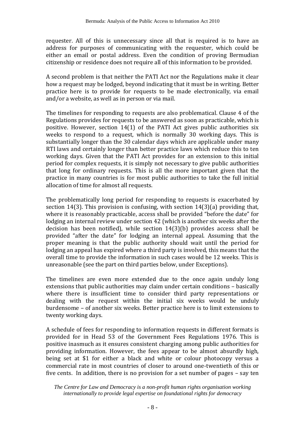requester. All of this is unnecessary since all that is required is to have an address for purposes of communicating with the requester, which could be either an email or postal address. Even the condition of proving Bermudian citizenship or residence does not require all of this information to be provided.

A second problem is that neither the PATI Act nor the Regulations make it clear how a request may be lodged, beyond indicating that it must be in writing. Better practice here is to provide for requests to be made electronically, via email and/or a website, as well as in person or via mail.

The timelines for responding to requests are also problematical. Clause 4 of the Regulations provides for requests to be answered as soon as practicable, which is positive. However, section 14(1) of the PATI Act gives public authorities six weeks to respond to a request, which is normally 30 working days. This is substantially longer than the 30 calendar days which are applicable under many RTI laws and certainly longer than better practice laws which reduce this to ten working days. Given that the PATI Act provides for an extension to this initial period for complex requests, it is simply not necessary to give public authorities that long for ordinary requests. This is all the more important given that the practice in many countries is for most public authorities to take the full initial allocation of time for almost all requests.

The problematically long period for responding to requests is exacerbated by section 14(3). This provision is confusing, with section 14(3)(a) providing that, where it is reasonably practicable, access shall be provided "before the date" for lodging an internal review under section 42 (which is another six weeks after the decision has been notified), while section 14(3)(b) provides access shall be provided "after the date" for lodging an internal appeal. Assuming that the proper meaning is that the public authority should wait until the period for lodging an appeal has expired where a third party is involved, this means that the overall time to provide the information in such cases would be 12 weeks. This is unreasonable (see the part on third parties below, under Exceptions).

The timelines are even more extended due to the once again unduly long extensions that public authorities may claim under certain conditions – basically where there is insufficient time to consider third party representations or dealing with the request within the initial six weeks would be unduly burdensome – of another six weeks. Better practice here is to limit extensions to twenty working days.

A schedule of fees for responding to information requests in different formats is provided for in Head 53 of the Government Fees Regulations 1976. This is positive inasmuch as it ensures consistent charging among public authorities for providing information. However, the fees appear to be almost absurdly high, being set at \$1 for either a black and white or colour photocopy versus a commercial rate in most countries of closer to around one-twentieth of this or five cents. In addition, there is no provision for a set number of pages – say ten

*The Centre for Law and Democracy is a non-profit human rights organisation working internationally to provide legal expertise on foundational rights for democracy*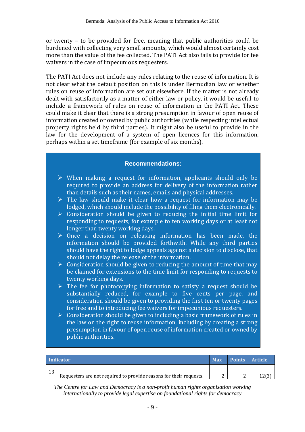or twenty – to be provided for free, meaning that public authorities could be burdened with collecting very small amounts, which would almost certainly cost more than the value of the fee collected. The PATI Act also fails to provide for fee waivers in the case of impecunious requesters.

The PATI Act does not include any rules relating to the reuse of information. It is not clear what the default position on this is under Bermudian law or whether rules on reuse of information are set out elsewhere. If the matter is not already dealt with satisfactorily as a matter of either law or policy, it would be useful to include a framework of rules on reuse of information in the PATI Act. These could make it clear that there is a strong presumption in favour of open reuse of information created or owned by public authorities (while respecting intellectual property rights held by third parties). It might also be useful to provide in the law for the development of a system of open licences for this information, perhaps within a set timeframe (for example of six months).

#### **Recommendations:**

- ➢ When making a request for information, applicants should only be required to provide an address for delivery of the information rather than details such as their names, emails and physical addresses.
- $\triangleright$  The law should make it clear how a request for information may be lodged, which should include the possibility of filing them electronically.
- $\triangleright$  Consideration should be given to reducing the initial time limit for responding to requests, for example to ten working days or at least not longer than twenty working days.
- ➢ Once a decision on releasing information has been made, the information should be provided forthwith. While any third parties should have the right to lodge appeals against a decision to disclose, that should not delay the release of the information.
- $\triangleright$  Consideration should be given to reducing the amount of time that may be claimed for extensions to the time limit for responding to requests to twenty working days.
- $\triangleright$  The fee for photocopying information to satisfy a request should be substantially reduced, for example to five cents per page, and consideration should be given to providing the first ten or twenty pages for free and to introducing fee waivers for impecunious requesters.
- $\triangleright$  Consideration should be given to including a basic framework of rules in the law on the right to reuse information, including by creating a strong presumption in favour of open reuse of information created or owned by public authorities.

|    | Indicator                                                          | <b>Max</b> | <b>Points Article</b> |  |
|----|--------------------------------------------------------------------|------------|-----------------------|--|
| 13 | Requesters are not required to provide reasons for their requests. |            |                       |  |
|    |                                                                    |            |                       |  |

*The Centre for Law and Democracy is a non-profit human rights organisation working internationally to provide legal expertise on foundational rights for democracy*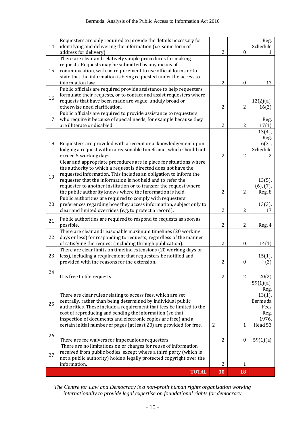| 14 | Requesters are only required to provide the details necessary for<br>identifying and delivering the information (i.e. some form of |                |                  | Reg.<br>Schedule      |
|----|------------------------------------------------------------------------------------------------------------------------------------|----------------|------------------|-----------------------|
|    | address for delivery).                                                                                                             | $\overline{2}$ | $\boldsymbol{0}$ | 1                     |
|    | There are clear and relatively simple procedures for making                                                                        |                |                  |                       |
| 15 | requests. Requests may be submitted by any means of<br>communication, with no requirement to use official forms or to              |                |                  |                       |
|    | state that the information is being requested under the access to                                                                  |                |                  |                       |
|    | information law.                                                                                                                   | $\overline{2}$ | $\boldsymbol{0}$ | 13                    |
|    | Public officials are required provide assistance to help requesters                                                                |                |                  |                       |
| 16 | formulate their requests, or to contact and assist requesters where                                                                |                |                  |                       |
|    | requests that have been made are vague, unduly broad or<br>otherwise need clarification.                                           | $\overline{2}$ | $\overline{2}$   | $12(2)(a)$ ,<br>16(2) |
|    | Public officials are required to provide assistance to requesters                                                                  |                |                  |                       |
| 17 | who require it because of special needs, for example because they                                                                  |                |                  | Reg.                  |
|    | are illiterate or disabled.                                                                                                        | $\overline{2}$ | $\overline{2}$   | 17(1)                 |
|    |                                                                                                                                    |                |                  | $13(4)$ ,             |
| 18 | Requesters are provided with a receipt or acknowledgement upon                                                                     |                |                  | Reg.<br>$6(3)$ ,      |
|    | lodging a request within a reasonable timeframe, which should not                                                                  |                |                  | Schedule              |
|    | exceed 5 working days                                                                                                              | $\overline{2}$ | $\overline{2}$   | 2                     |
|    | Clear and appropriate procedures are in place for situations where                                                                 |                |                  |                       |
|    | the authority to which a request is directed does not have the                                                                     |                |                  |                       |
| 19 | requested information. This includes an obligation to inform the<br>requester that the information is not held and to refer the    |                |                  | $13(5)$ ,             |
|    | requester to another institution or to transfer the request where                                                                  |                |                  | $(6)$ , $(7)$ ,       |
|    | the public authority knows where the information is held.                                                                          | $\overline{2}$ | $\overline{2}$   | Reg. 8                |
|    | Public authorities are required to comply with requesters'                                                                         |                |                  |                       |
| 20 | preferences regarding how they access information, subject only to                                                                 |                |                  | $13(3)$ ,             |
|    | clear and limited overrides (e.g. to protect a record).                                                                            | $\overline{2}$ | $\overline{2}$   | 17                    |
| 21 | Public authorities are required to respond to requests as soon as<br>possible.                                                     | 2              | $\overline{2}$   |                       |
|    | There are clear and reasonable maximum timelines (20 working                                                                       |                |                  | Reg. 4                |
| 22 | days or less) for responding to requests, regardless of the manner                                                                 |                |                  |                       |
|    | of satisfying the request (including through publication).                                                                         | $\overline{c}$ | $\boldsymbol{0}$ | 14(1)                 |
|    | There are clear limits on timeline extensions (20 working days or                                                                  |                |                  |                       |
| 23 | less), including a requirement that requesters be notified and<br>provided with the reasons for the extension.                     | $\overline{2}$ | $\boldsymbol{0}$ | $15(1)$ ,<br>(2)      |
|    |                                                                                                                                    |                |                  |                       |
| 24 | It is free to file requests.                                                                                                       | 2              | $\overline{2}$   | 20(2)                 |
|    |                                                                                                                                    |                |                  | $59(1)(a)$ ,          |
|    |                                                                                                                                    |                |                  | Reg.                  |
|    | There are clear rules relating to access fees, which are set                                                                       |                |                  | $13(1)$ ,             |
| 25 | centrally, rather than being determined by individual public                                                                       |                |                  | Bermuda               |
|    | authorities. These include a requirement that fees be limited to the<br>cost of reproducing and sending the information (so that   |                |                  | Fees<br>Reg.          |
|    | inspection of documents and electronic copies are free) and a                                                                      |                |                  | 1976,                 |
|    | certain initial number of pages (at least 20) are provided for free.                                                               | $\overline{2}$ | 1                | Head 53               |
| 26 |                                                                                                                                    |                |                  |                       |
|    | There are fee waivers for impecunious requesters                                                                                   | $\overline{2}$ | $\boldsymbol{0}$ | 59(1)(a)              |
|    | There are no limitations on or charges for reuse of information                                                                    |                |                  |                       |
| 27 | received from public bodies, except where a third party (which is                                                                  |                |                  |                       |
|    | not a public authority) holds a legally protected copyright over the<br>information.                                               | $\overline{2}$ | $\mathbf{1}$     |                       |
|    | <b>TOTAL</b>                                                                                                                       | 30             | 18               |                       |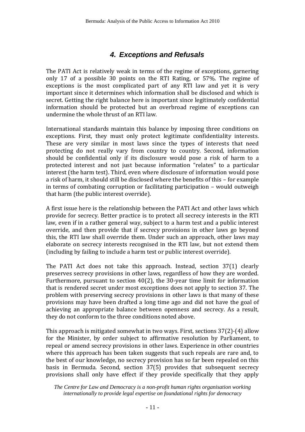# *4. Exceptions and Refusals*

The PATI Act is relatively weak in terms of the regime of exceptions, garnering only 17 of a possible 30 points on the RTI Rating, or 57%. The regime of exceptions is the most complicated part of any RTI law and yet it is very important since it determines which information shall be disclosed and which is secret. Getting the right balance here is important since legitimately confidential information should be protected but an overbroad regime of exceptions can undermine the whole thrust of an RTI law.

International standards maintain this balance by imposing three conditions on exceptions. First, they must only protect legitimate confidentiality interests. These are very similar in most laws since the types of interests that need protecting do not really vary from country to country. Second, information should be confidential only if its disclosure would pose a risk of harm to a protected interest and not just because information "relates" to a particular interest (the harm test). Third, even where disclosure of information would pose a risk of harm, it should still be disclosed where the benefits of this – for example in terms of combating corruption or facilitating participation – would outweigh that harm (the public interest override).

A first issue here is the relationship between the PATI Act and other laws which provide for secrecy. Better practice is to protect all secrecy interests in the RTI law, even if in a rather general way, subject to a harm test and a public interest override, and then provide that if secrecy provisions in other laws go beyond this, the RTI law shall override them. Under such an approach, other laws may elaborate on secrecy interests recognised in the RTI law, but not extend them (including by failing to include a harm test or public interest override).

The PATI Act does not take this approach. Instead, section 37(1) clearly preserves secrecy provisions in other laws, regardless of how they are worded. Furthermore, pursuant to section 40(2), the 30-year time limit for information that is rendered secret under most exceptions does not apply to section 37. The problem with preserving secrecy provisions in other laws is that many of these provisions may have been drafted a long time ago and did not have the goal of achieving an appropriate balance between openness and secrecy. As a result, they do not conform to the three conditions noted above.

This approach is mitigated somewhat in two ways. First, sections 37(2)-(4) allow for the Minister, by order subject to affirmative resolution by Parliament, to repeal or amend secrecy provisions in other laws. Experience in other countries where this approach has been taken suggests that such repeals are rare and, to the best of our knowledge, no secrecy provision has so far been repealed on this basis in Bermuda. Second, section 37(5) provides that subsequent secrecy provisions shall only have effect if they provide specifically that they apply

*The Centre for Law and Democracy is a non-profit human rights organisation working internationally to provide legal expertise on foundational rights for democracy*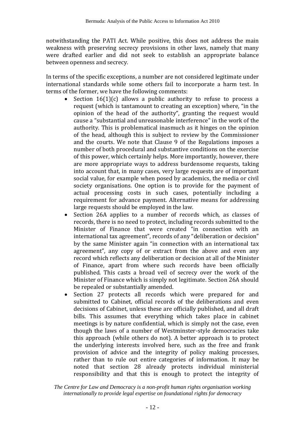notwithstanding the PATI Act. While positive, this does not address the main weakness with preserving secrecy provisions in other laws, namely that many were drafted earlier and did not seek to establish an appropriate balance between openness and secrecy.

In terms of the specific exceptions, a number are not considered legitimate under international standards while some others fail to incorporate a harm test. In terms of the former, we have the following comments:

- Section 16(1)(c) allows a public authority to refuse to process a request (which is tantamount to creating an exception) where, "in the opinion of the head of the authority", granting the request would cause a "substantial and unreasonable interference" in the work of the authority. This is problematical inasmuch as it hinges on the opinion of the head, although this is subject to review by the Commissioner and the courts. We note that Clause 9 of the Regulations imposes a number of both procedural and substantive conditions on the exercise of this power, which certainly helps. More importantly, however, there are more appropriate ways to address burdensome requests, taking into account that, in many cases, very large requests are of important social value, for example when posed by academics, the media or civil society organisations. One option is to provide for the payment of actual processing costs in such cases, potentially including a requirement for advance payment. Alternative means for addressing large requests should be employed in the law.
- Section 26A applies to a number of records which, as classes of records, there is no need to protect, including records submitted to the Minister of Finance that were created "in connection with an international tax agreement", records of any "deliberation or decision" by the same Minister again "in connection with an international tax agreement", any copy of or extract from the above and even any record which reflects any deliberation or decision at all of the Minister of Finance, apart from where such records have been officially published. This casts a broad veil of secrecy over the work of the Minister of Finance which is simply not legitimate. Section 26A should be repealed or substantially amended.
- Section 27 protects all records which were prepared for and submitted to Cabinet, official records of the deliberations and even decisions of Cabinet, unless these are officially published, and all draft bills. This assumes that everything which takes place in cabinet meetings is by nature confidential, which is simply not the case, even though the laws of a number of Westminster-style democracies take this approach (while others do not). A better approach is to protect the underlying interests involved here, such as the free and frank provision of advice and the integrity of policy making processes, rather than to rule out entire categories of information. It may be noted that section 28 already protects individual ministerial responsibility and that this is enough to protect the integrity of

*The Centre for Law and Democracy is a non-profit human rights organisation working internationally to provide legal expertise on foundational rights for democracy*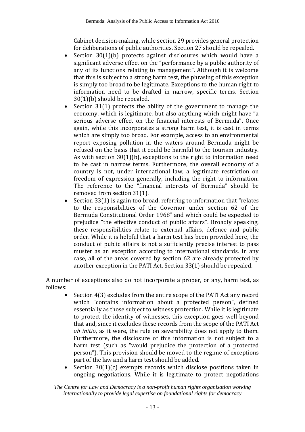Cabinet decision-making, while section 29 provides general protection for deliberations of public authorities. Section 27 should be repealed.

- Section 30(1)(b) protects against disclosures which would have a significant adverse effect on the "performance by a public authority of any of its functions relating to management". Although it is welcome that this is subject to a strong harm test, the phrasing of this exception is simply too broad to be legitimate. Exceptions to the human right to information need to be drafted in narrow, specific terms. Section 30(1)(b) should be repealed.
- Section  $31(1)$  protects the ability of the government to manage the economy, which is legitimate, but also anything which might have "a serious adverse effect on the financial interests of Bermuda". Once again, while this incorporates a strong harm test, it is cast in terms which are simply too broad. For example, access to an environmental report exposing pollution in the waters around Bermuda might be refused on the basis that it could be harmful to the tourism industry. As with section 30(1)(b), exceptions to the right to information need to be cast in narrow terms. Furthermore, the overall economy of a country is not, under international law, a legitimate restriction on freedom of expression generally, including the right to information. The reference to the "financial interests of Bermuda" should be removed from section 31(1).
- Section 33(1) is again too broad, referring to information that "relates" to the responsibilities of the Governor under section 62 of the Bermuda Constitutional Order 1968" and which could be expected to prejudice "the effective conduct of public affairs". Broadly speaking, these responsibilities relate to external affairs, defence and public order. While it is helpful that a harm test has been provided here, the conduct of public affairs is not a sufficiently precise interest to pass muster as an exception according to international standards. In any case, all of the areas covered by section 62 are already protected by another exception in the PATI Act. Section 33(1) should be repealed.

A number of exceptions also do not incorporate a proper, or any, harm test, as follows:

- Section 4(3) excludes from the entire scope of the PATI Act any record which "contains information about a protected person", defined essentially as those subject to witness protection. While it is legitimate to protect the identity of witnesses, this exception goes well beyond that and, since it excludes these records from the scope of the PATI Act *ab initio*, as it were, the rule on severability does not apply to them. Furthermore, the disclosure of this information is not subject to a harm test (such as "would prejudice the protection of a protected person"). This provision should be moved to the regime of exceptions part of the law and a harm test should be added.
- Section  $30(1)(c)$  exempts records which disclose positions taken in ongoing negotiations. While it is legitimate to protect negotiations

*The Centre for Law and Democracy is a non-profit human rights organisation working internationally to provide legal expertise on foundational rights for democracy*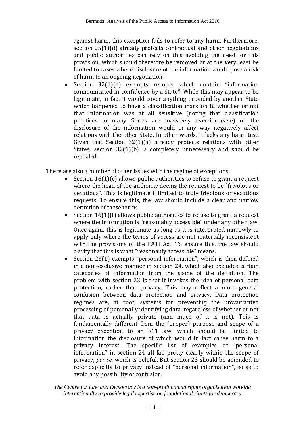against harm, this exception fails to refer to any harm. Furthermore, section 25(1)(d) already protects contractual and other negotiations and public authorities can rely on this avoiding the need for this provision, which should therefore be removed or at the very least be limited to cases where disclosure of the information would pose a risk of harm to an ongoing negotiation.

Section 32(1)(b) exempts records which contain "information communicated in confidence by a State". While this may appear to be legitimate, in fact it would cover anything provided by another State which happened to have a classification mark on it, whether or not that information was at all sensitive (noting that classification practices in many States are massively over-inclusive) or the disclosure of the information would in any way negatively affect relations with the other State. In other words, it lacks any harm test. Given that Section 32(1)(a) already protects relations with other States, section 32(1)(b) is completely unnecessary and should be repealed.

There are also a number of other issues with the regime of exceptions:

- Section  $16(1)(e)$  allows public authorities to refuse to grant a request where the head of the authority deems the request to be "frivolous or vexatious". This is legitimate if limited to truly frivolous or vexatious requests. To ensure this, the law should include a clear and narrow definition of these terms.
- Section 16(1)(f) allows public authorities to refuse to grant a request where the information is "reasonably accessible" under any other law. Once again, this is legitimate as long as it is interpreted narrowly to apply only where the terms of access are not materially inconsistent with the provisions of the PATI Act. To ensure this, the law should clarify that this is what "reasonably accessible" means.
- Section 23(1) exempts "personal information", which is then defined in a non-exclusive manner in section 24, which also excludes certain categories of information from the scope of the definition. The problem with section 23 is that it invokes the idea of personal data protection, rather than privacy. This may reflect a more general confusion between data protection and privacy. Data protection regimes are, at root, systems for preventing the unwarranted processing of personally identifying data, regardless of whether or not that data is actually private (and much of it is not). This is fundamentally different from the (proper) purpose and scope of a privacy exception to an RTI law, which should be limited to information the disclosure of which would in fact cause harm to a privacy interest. The specific list of examples of "personal information" in section 24 all fall pretty clearly within the scope of privacy, *per se*, which is helpful. But section 23 should be amended to refer explicitly to privacy instead of "personal information", so as to avoid any possibility of confusion.

*The Centre for Law and Democracy is a non-profit human rights organisation working internationally to provide legal expertise on foundational rights for democracy*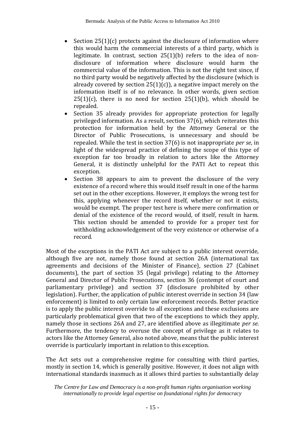- Section  $25(1)(c)$  protects against the disclosure of information where this would harm the commercial interests of a third party, which is legitimate. In contrast, section 25(1)(b) refers to the idea of nondisclosure of information where disclosure would harm the commercial value of the information. This is not the right test since, if no third party would be negatively affected by the disclosure (which is already covered by section  $25(1)(c)$ , a negative impact merely on the information itself is of no relevance. In other words, given section  $25(1)(c)$ , there is no need for section  $25(1)(b)$ , which should be repealed.
- Section 35 already provides for appropriate protection for legally privileged information. As a result, section 37(6), which reiterates this protection for information held by the Attorney General or the Director of Public Prosecutions, is unnecessary and should be repealed. While the test in section 37(6) is not inappropriate *per se*, in light of the widespread practice of defining the scope of this type of exception far too broadly in relation to actors like the Attorney General, it is distinctly unhelpful for the PATI Act to repeat this exception.
- Section 38 appears to aim to prevent the disclosure of the very existence of a record where this would itself result in one of the harms set out in the other exceptions. However, it employs the wrong test for this, applying whenever the record itself, whether or not it exists, would be exempt. The proper test here is where mere confirmation or denial of the existence of the record would, of itself, result in harm. This section should be amended to provide for a proper test for withholding acknowledgement of the very existence or otherwise of a record.

Most of the exceptions in the PATI Act are subject to a public interest override, although five are not, namely those found at section 26A (international tax agreements and decisions of the Minister of Finance), section 27 (Cabinet documents), the part of section 35 (legal privilege) relating to the Attorney General and Director of Public Prosecutions, section 36 (contempt of court and parliamentary privilege) and section 37 (disclosure prohibited by other legislation). Further, the application of public interest override in section 34 (law enforcement) is limited to only certain law enforcement records. Better practice is to apply the public interest override to all exceptions and these exclusions are particularly problematical given that two of the exceptions to which they apply, namely those in sections 26A and 27, are identified above as illegitimate *per se*. Furthermore, the tendency to overuse the concept of privilege as it relates to actors like the Attorney General, also noted above, means that the public interest override is particularly important in relation to this exception.

The Act sets out a comprehensive regime for consulting with third parties, mostly in section 14, which is generally positive. However, it does not align with international standards inasmuch as it allows third parties to substantially delay

*The Centre for Law and Democracy is a non-profit human rights organisation working internationally to provide legal expertise on foundational rights for democracy*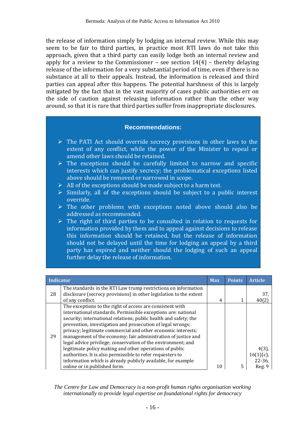the release of information simply by lodging an internal review. While this may seem to be fair to third parties, in practice most RTI laws do not take this approach, given that a third party can easily lodge both an internal review and apply for a review to the Commissioner – see section  $14(4)$  – thereby delaying release of the information for a very substantial period of time, even if there is no substance at all to their appeals. Instead, the information is released and third parties can appeal after this happens. The potential harshness of this is largely mitigated by the fact that in the vast majority of cases public authorities err on the side of caution against releasing information rather than the other way around, so that it is rare that third parties suffer from inappropriate disclosures.

#### **Recommendations:**

- $\triangleright$  The PATI Act should override secrecy provisions in other laws to the extent of any conflict, while the power of the Minister to repeal or amend other laws should be retained.
- $\triangleright$  The exceptions should be carefully limited to narrow and specific interests which can justify secrecy; the problematical exceptions listed above should be removed or narrowed in scope.
- $\triangleright$  All of the exceptions should be made subject to a harm test.
- $\triangleright$  Similarly, all of the exceptions should be subject to a public interest override.
- ➢ The other problems with exceptions noted above should also be addressed as recommended.
- ➢ The right of third parties to be consulted in relation to requests for information provided by them and to appeal against decisions to release this information should be retained, but the release of information should not be delayed until the time for lodging an appeal by a third party has expired and neither should the lodging of such an appeal further delay the release of information.

| <b>Indicator</b> |                                                                                                                                                                                                                                                                                                                                                                                                                                                                                                                                                                                                                                                                                                            | <b>Max</b> | <b>Points</b> | <b>Article</b>                                       |
|------------------|------------------------------------------------------------------------------------------------------------------------------------------------------------------------------------------------------------------------------------------------------------------------------------------------------------------------------------------------------------------------------------------------------------------------------------------------------------------------------------------------------------------------------------------------------------------------------------------------------------------------------------------------------------------------------------------------------------|------------|---------------|------------------------------------------------------|
| 28               | The standards in the RTI Law trump restrictions on information<br>disclosure (secrecy provisions) in other legislation to the extent                                                                                                                                                                                                                                                                                                                                                                                                                                                                                                                                                                       |            |               | 37.                                                  |
| 29               | of any conflict.<br>The exceptions to the right of access are consistent with<br>international standards. Permissible exceptions are: national<br>security; international relations; public health and safety; the<br>prevention, investigation and prosecution of legal wrongs;<br>privacy; legitimate commercial and other economic interests;<br>management of the economy; fair administration of justice and<br>legal advice privilege; conservation of the environment; and<br>legitimate policy making and other operations of public<br>authorities. It is also permissible to refer requesters to<br>information which is already publicly available, for example<br>online or in published form. | 4<br>10    | 5             | 40(2<br>4(3).<br>$16(1)(c)$ ,<br>$22 - 36$<br>Reg. 9 |

*The Centre for Law and Democracy is a non-profit human rights organisation working internationally to provide legal expertise on foundational rights for democracy*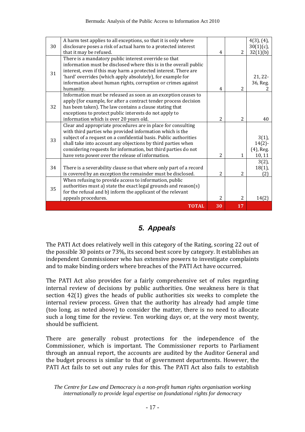|    | A harm test applies to all exceptions, so that it is only where    |                |                          | $4(3)$ , $(4)$ , |
|----|--------------------------------------------------------------------|----------------|--------------------------|------------------|
| 30 | disclosure poses a risk of actual harm to a protected interest     |                |                          | $30(1)(c)$ ,     |
|    | that it may be refused.                                            | 4              | $\overline{2}$           | 32(1)(b)         |
|    | There is a mandatory public interest override so that              |                |                          |                  |
|    | information must be disclosed where this is in the overall public  |                |                          |                  |
| 31 | interest, even if this may harm a protected interest. There are    |                |                          |                  |
|    | 'hard' overrides (which apply absolutely), for example for         |                |                          | $21, 22-$        |
|    | information about human rights, corruption or crimes against       |                |                          | 36, Reg.         |
|    | humanity.                                                          | 4              | $\overline{2}$           |                  |
|    | Information must be released as soon as an exception ceases to     |                |                          |                  |
|    | apply (for example, for after a contract tender process decision   |                |                          |                  |
| 32 | has been taken). The law contains a clause stating that            |                |                          |                  |
|    | exceptions to protect public interests do not apply to             |                |                          |                  |
|    | information which is over 20 years old.                            | $\overline{2}$ | $\overline{\mathcal{L}}$ | 40               |
|    | Clear and appropriate procedures are in place for consulting       |                |                          |                  |
|    | with third parties who provided information which is the           |                |                          |                  |
| 33 | subject of a request on a confidential basis. Public authorities   |                |                          | $3(1)$ ,         |
|    | shall take into account any objections by third parties when       |                |                          | $14(2)$ -        |
|    | considering requests for information, but third parties do not     |                |                          | (4), Reg.        |
|    | have veto power over the release of information.                   | $\overline{2}$ | 1                        | 10, 11           |
|    |                                                                    |                |                          | $3(2)$ ,         |
| 34 | There is a severability clause so that where only part of a record |                |                          | $18(1)$ ,        |
|    | is covered by an exception the remainder must be disclosed.        | $\overline{2}$ | 2                        | (2)              |
|    | When refusing to provide access to information, public             |                |                          |                  |
| 35 | authorities must a) state the exact legal grounds and reason(s)    |                |                          |                  |
|    | for the refusal and b) inform the applicant of the relevant        |                |                          |                  |
|    | appeals procedures.                                                | 2              | $\overline{c}$           | 14(2)            |
|    | <b>TOTAL</b>                                                       | 30             | 17                       |                  |
|    |                                                                    |                |                          |                  |

# *5. Appeals*

The PATI Act does relatively well in this category of the Rating, scoring 22 out of the possible 30 points or 73%, its second best score by category. It establishes an independent Commissioner who has extensive powers to investigate complaints and to make binding orders where breaches of the PATI Act have occurred.

The PATI Act also provides for a fairly comprehensive set of rules regarding internal review of decisions by public authorities. One weakness here is that section 42(1) gives the heads of public authorities six weeks to complete the internal review process. Given that the authority has already had ample time (too long, as noted above) to consider the matter, there is no need to allocate such a long time for the review. Ten working days or, at the very most twenty, should be sufficient.

There are generally robust protections for the independence of the Commissioner, which is important. The Commissioner reports to Parliament through an annual report, the accounts are audited by the Auditor General and the budget process is similar to that of government departments. However, the PATI Act fails to set out any rules for this. The PATI Act also fails to establish

*The Centre for Law and Democracy is a non-profit human rights organisation working internationally to provide legal expertise on foundational rights for democracy*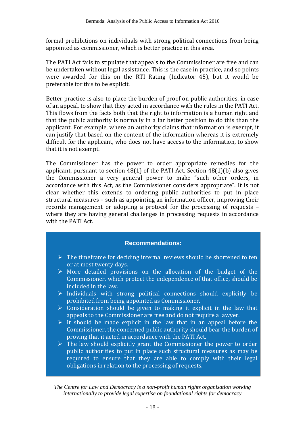formal prohibitions on individuals with strong political connections from being appointed as commissioner, which is better practice in this area.

The PATI Act fails to stipulate that appeals to the Commissioner are free and can be undertaken without legal assistance. This is the case in practice, and so points were awarded for this on the RTI Rating (Indicator 45), but it would be preferable for this to be explicit.

Better practice is also to place the burden of proof on public authorities, in case of an appeal, to show that they acted in accordance with the rules in the PATI Act. This flows from the facts both that the right to information is a human right and that the public authority is normally in a far better position to do this than the applicant. For example, where an authority claims that information is exempt, it can justify that based on the content of the information whereas it is extremely difficult for the applicant, who does not have access to the information, to show that it is not exempt.

The Commissioner has the power to order appropriate remedies for the applicant, pursuant to section 48(1) of the PATI Act. Section 48(1)(b) also gives the Commissioner a very general power to make "such other orders, in accordance with this Act, as the Commissioner considers appropriate". It is not clear whether this extends to ordering public authorities to put in place structural measures – such as appointing an information officer, improving their records management or adopting a protocol for the processing of requests – where they are having general challenges in processing requests in accordance with the PATI Act.

#### **Recommendations:**

- $\triangleright$  The timeframe for deciding internal reviews should be shortened to ten or at most twenty days.
- ➢ More detailed provisions on the allocation of the budget of the Commissioner, which protect the independence of that office, should be included in the law.
- ➢ Individuals with strong political connections should explicitly be prohibited from being appointed as Commissioner.
- $\triangleright$  Consideration should be given to making it explicit in the law that appeals to the Commissioner are free and do not require a lawyer.
- $\triangleright$  It should be made explicit in the law that in an appeal before the Commissioner, the concerned public authority should bear the burden of proving that it acted in accordance with the PATI Act.
- $\triangleright$  The law should explicitly grant the Commissioner the power to order public authorities to put in place such structural measures as may be required to ensure that they are able to comply with their legal obligations in relation to the processing of requests.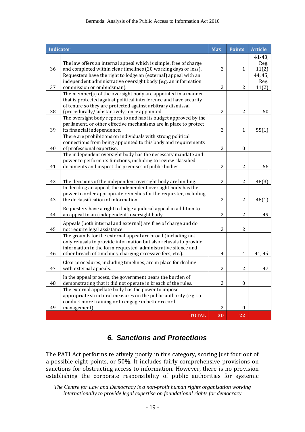| <b>Indicator</b> |                                                                                                                                      | <b>Max</b>     | <b>Points</b>    | <b>Article</b> |
|------------------|--------------------------------------------------------------------------------------------------------------------------------------|----------------|------------------|----------------|
|                  |                                                                                                                                      |                |                  | $41 - 43,$     |
| 36               | The law offers an internal appeal which is simple, free of charge<br>and completed within clear timelines (20 working days or less). | $\overline{2}$ | 1                | Reg.<br>11(2)  |
|                  | Requesters have the right to lodge an (external) appeal with an                                                                      |                |                  | 44, 45,        |
|                  | independent administrative oversight body (e.g. an information                                                                       |                |                  | Reg.           |
| 37               | commission or ombudsman).                                                                                                            | $\overline{2}$ | 2                | 11(2)          |
|                  | The member(s) of the oversight body are appointed in a manner                                                                        |                |                  |                |
|                  | that is protected against political interference and have security<br>of tenure so they are protected against arbitrary dismissal    |                |                  |                |
| 38               | (procedurally/substantively) once appointed.                                                                                         | $\overline{2}$ | $\overline{2}$   | 50             |
|                  | The oversight body reports to and has its budget approved by the                                                                     |                |                  |                |
|                  | parliament, or other effective mechanisms are in place to protect                                                                    |                |                  |                |
| 39               | its financial independence.                                                                                                          | $\overline{c}$ | $\mathbf{1}$     | 55(1)          |
|                  | There are prohibitions on individuals with strong political                                                                          |                |                  |                |
| 40               | connections from being appointed to this body and requirements<br>of professional expertise.                                         | $\overline{c}$ | $\boldsymbol{0}$ |                |
|                  | The independent oversight body has the necessary mandate and                                                                         |                |                  |                |
|                  | power to perform its functions, including to review classified                                                                       |                |                  |                |
| 41               | documents and inspect the premises of public bodies.                                                                                 | $\overline{c}$ | $\overline{2}$   | 56             |
|                  |                                                                                                                                      |                |                  |                |
| 42               | The decisions of the independent oversight body are binding.                                                                         | $\overline{2}$ | $\overline{2}$   | 48(3)          |
|                  | In deciding an appeal, the independent oversight body has the                                                                        |                |                  |                |
| 43               | power to order appropriate remedies for the requester, including<br>the declassification of information.                             | $\overline{2}$ | $\overline{2}$   | 48(1)          |
|                  |                                                                                                                                      |                |                  |                |
| 44               | Requesters have a right to lodge a judicial appeal in addition to<br>an appeal to an (independent) oversight body.                   | $\overline{2}$ | 2                | 49             |
|                  |                                                                                                                                      |                |                  |                |
| 45               | Appeals (both internal and external) are free of charge and do<br>not require legal assistance.                                      | 2              | $\overline{2}$   |                |
|                  | The grounds for the external appeal are broad (including not                                                                         |                |                  |                |
|                  | only refusals to provide information but also refusals to provide                                                                    |                |                  |                |
|                  | information in the form requested, administrative silence and                                                                        |                |                  |                |
| 46               | other breach of timelines, charging excessive fees, etc.).                                                                           | 4              | $\overline{4}$   | 41, 45         |
|                  | Clear procedures, including timelines, are in place for dealing                                                                      |                |                  |                |
| 47               | with external appeals.                                                                                                               | $\overline{c}$ | $\overline{2}$   | 47             |
|                  | In the appeal process, the government bears the burden of                                                                            |                |                  |                |
| 48               | demonstrating that it did not operate in breach of the rules.                                                                        | 2              | $\boldsymbol{0}$ |                |
|                  | The external appellate body has the power to impose                                                                                  |                |                  |                |
|                  | appropriate structural measures on the public authority (e.g. to<br>conduct more training or to engage in better record              |                |                  |                |
| 49               | management)                                                                                                                          | $\overline{2}$ | $\mathbf{0}$     |                |
|                  | <b>TOTAL</b>                                                                                                                         | 30             | 22               |                |

# *6. Sanctions and Protections*

The PATI Act performs relatively poorly in this category, scoring just four out of a possible eight points, or 50%. It includes fairly comprehensive provisions on sanctions for obstructing access to information. However, there is no provision establishing the corporate responsibility of public authorities for systemic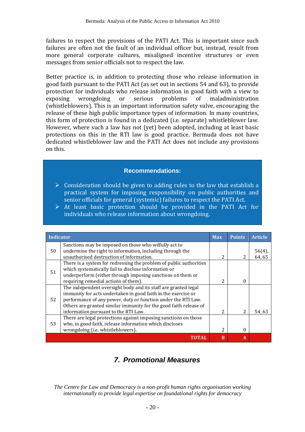failures to respect the provisions of the PATI Act. This is important since such failures are often not the fault of an individual officer but, instead, result from more general corporate cultures, misaligned incentive structures or even messages from senior officials not to respect the law.

Better practice is, in addition to protecting those who release information in good faith pursuant to the PATI Act (as set out in sections 54 and 63), to provide protection for individuals who release information in good faith with a view to exposing wrongdoing or serious problems of maladministration (whistleblowers). This is an important information safety valve, encouraging the release of these high public importance types of information. In many countries, this form of protection is found in a dedicated (i.e. separate) whistleblower law. However, where such a law has not (yet) been adopted, including at least basic protections on this in the RTI law is good practice. Bermuda does not have dedicated whistleblower law and the PATI Act does not include any provisions on this.

#### **Recommendations:**

- $\triangleright$  Consideration should be given to adding rules to the law that establish a practical system for imposing responsibility on public authorities and senior officials for general (systemic) failures to respect the PATI Act.
- ➢ At least basic protection should be provided in the PATI Act for individuals who release information about wrongdoing.

| <b>Indicator</b> |                                                                    | <b>Max</b>               | <b>Points</b> | <b>Article</b> |
|------------------|--------------------------------------------------------------------|--------------------------|---------------|----------------|
|                  | Sanctions may be imposed on those who wilfully act to              |                          |               |                |
| 50               | undermine the right to information, including through the          |                          |               | $56(4)$ ,      |
|                  | unauthorised destruction of information.                           | 2                        | 2             | 64, 65         |
|                  | There is a system for redressing the problem of public authorities |                          |               |                |
| 51               | which systematically fail to disclose information or               |                          |               |                |
|                  | underperform (either through imposing sanctions on them or         |                          |               |                |
|                  | requiring remedial actions of them).                               | 2                        | $\Omega$      |                |
|                  | The independent oversight body and its staff are granted legal     |                          |               |                |
|                  | immunity for acts undertaken in good faith in the exercise or      |                          |               |                |
| 52               | performance of any power, duty or function under the RTI Law.      |                          |               |                |
|                  | Others are granted similar immunity for the good faith release of  |                          |               |                |
|                  | information pursuant to the RTI Law.                               | $\overline{\mathcal{L}}$ | $\mathcal{L}$ | 54.63          |
| 53               | There are legal protections against imposing sanctions on those    |                          |               |                |
|                  | who, in good faith, release information which discloses            |                          |               |                |
|                  | wrongdoing (i.e. whistleblowers).                                  | $\mathcal{P}$            | $\Omega$      |                |
|                  | TOTAL                                                              | $\bf{R}$                 | 4             |                |

# *7. Promotional Measures*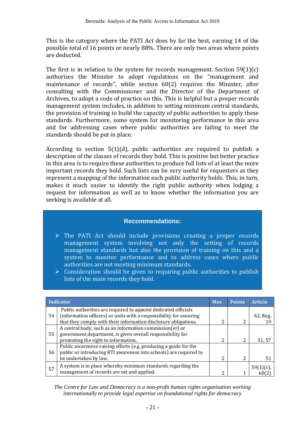This is the category where the PATI Act does by far the best, earning 14 of the possible total of 16 points or nearly 88%. There are only two areas where points are deducted.

The first is in relation to the system for records management. Section 59(1)(c) authorises the Minister to adopt regulations on the "management and maintenance of records", while section 60(2) requires the Minister, after consulting with the Commissioner and the Director of the Department of Archives, to adopt a code of practice on this. This is helpful but a proper records management system includes, in addition to setting minimum central standards, the provision of training to build the capacity of public authorities to apply these standards. Furthermore, some system for monitoring performance in this area and for addressing cases where public authorities are failing to meet the standards should be put in place.

According to section 5(1)(d), public authorities are required to publish a description of the classes of records they hold. This is positive but better practice in this area is to require these authorities to produce full lists of at least the more important records they hold. Such lists can be very useful for requesters as they represent a mapping of the information each public authority holds. This, in turn, makes it much easier to identify the right public authority when lodging a request for information as well as to know whether the information you are seeking is available at all.

#### **Recommendations:**

- ➢ The PATI Act should include provisions creating a proper records management system involving not only the setting of records management standards but also the provision of training on this and a system to monitor performance and to address cases where public authorities are not meeting minimum standards.
- $\triangleright$  Consideration should be given to requiring public authorities to publish lists of the main records they hold.

|    | Indicator                                                                                                                                                                                               | <b>Max</b> | <b>Points</b> | <b>Article</b> |
|----|---------------------------------------------------------------------------------------------------------------------------------------------------------------------------------------------------------|------------|---------------|----------------|
| 54 | Public authorities are required to appoint dedicated officials<br>(information officers) or units with a responsibility for ensuring<br>that they comply with their information disclosure obligations. | 2          | ົາ            | 62, Reg.       |
| 55 | A central body, such as an information commission(er) or<br>government department, is given overall responsibility for<br>promoting the right to information.                                           | C          | າ             | 51,57          |
| 56 | Public awareness-raising efforts (e.g. producing a guide for the<br>public or introducing RTI awareness into schools) are required to<br>be undertaken by law.                                          | 2          | າ             | 51             |
| 57 | A system is in place whereby minimum standards regarding the<br>management of records are set and applied.                                                                                              | C          |               | 59(1)(c)       |